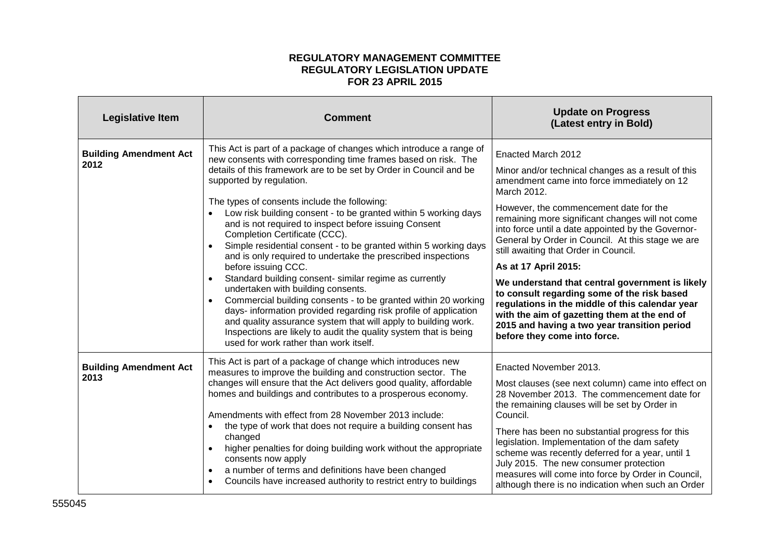## **REGULATORY MANAGEMENT COMMITTEE REGULATORY LEGISLATION UPDATE FOR 23 APRIL 2015**

| <b>Legislative Item</b>               | <b>Comment</b>                                                                                                                                                                                                                                                                                                                                                                                                                                                                                                                                                                                                                                                                                                                                                                                                                                                                                                                                                                                                                                     | <b>Update on Progress</b><br>(Latest entry in Bold)                                                                                                                                                                                                                                                                                                                                                                                                                                                                                                                                                                                                                                                   |
|---------------------------------------|----------------------------------------------------------------------------------------------------------------------------------------------------------------------------------------------------------------------------------------------------------------------------------------------------------------------------------------------------------------------------------------------------------------------------------------------------------------------------------------------------------------------------------------------------------------------------------------------------------------------------------------------------------------------------------------------------------------------------------------------------------------------------------------------------------------------------------------------------------------------------------------------------------------------------------------------------------------------------------------------------------------------------------------------------|-------------------------------------------------------------------------------------------------------------------------------------------------------------------------------------------------------------------------------------------------------------------------------------------------------------------------------------------------------------------------------------------------------------------------------------------------------------------------------------------------------------------------------------------------------------------------------------------------------------------------------------------------------------------------------------------------------|
| <b>Building Amendment Act</b><br>2012 | This Act is part of a package of changes which introduce a range of<br>new consents with corresponding time frames based on risk. The<br>details of this framework are to be set by Order in Council and be<br>supported by regulation.<br>The types of consents include the following:<br>Low risk building consent - to be granted within 5 working days<br>and is not required to inspect before issuing Consent<br>Completion Certificate (CCC).<br>Simple residential consent - to be granted within 5 working days<br>and is only required to undertake the prescribed inspections<br>before issuing CCC.<br>Standard building consent- similar regime as currently<br>undertaken with building consents.<br>Commercial building consents - to be granted within 20 working<br>$\bullet$<br>days- information provided regarding risk profile of application<br>and quality assurance system that will apply to building work.<br>Inspections are likely to audit the quality system that is being<br>used for work rather than work itself. | Enacted March 2012<br>Minor and/or technical changes as a result of this<br>amendment came into force immediately on 12<br>March 2012.<br>However, the commencement date for the<br>remaining more significant changes will not come<br>into force until a date appointed by the Governor-<br>General by Order in Council. At this stage we are<br>still awaiting that Order in Council.<br>As at 17 April 2015:<br>We understand that central government is likely<br>to consult regarding some of the risk based<br>regulations in the middle of this calendar year<br>with the aim of gazetting them at the end of<br>2015 and having a two year transition period<br>before they come into force. |
| <b>Building Amendment Act</b><br>2013 | This Act is part of a package of change which introduces new<br>measures to improve the building and construction sector. The<br>changes will ensure that the Act delivers good quality, affordable<br>homes and buildings and contributes to a prosperous economy.<br>Amendments with effect from 28 November 2013 include:<br>the type of work that does not require a building consent has<br>changed<br>higher penalties for doing building work without the appropriate<br>consents now apply<br>a number of terms and definitions have been changed<br>Councils have increased authority to restrict entry to buildings<br>$\bullet$                                                                                                                                                                                                                                                                                                                                                                                                         | Enacted November 2013.<br>Most clauses (see next column) came into effect on<br>28 November 2013. The commencement date for<br>the remaining clauses will be set by Order in<br>Council.<br>There has been no substantial progress for this<br>legislation. Implementation of the dam safety<br>scheme was recently deferred for a year, until 1<br>July 2015. The new consumer protection<br>measures will come into force by Order in Council,<br>although there is no indication when such an Order                                                                                                                                                                                                |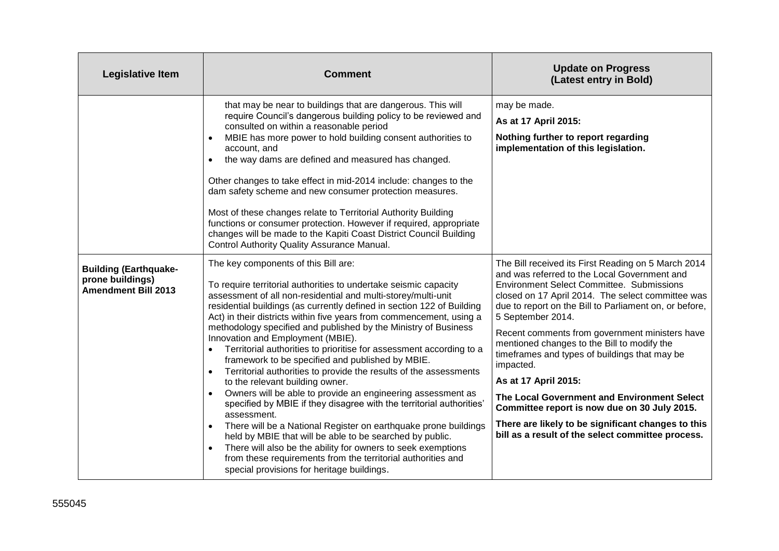| <b>Legislative Item</b>                                                        | <b>Comment</b>                                                                                                                                                                                                                                                                                                                                                                                                                                                                                                                                                                                                                                                                                                                                                                                                                                                                                                                                                                                                                                                                                                                                                                   | <b>Update on Progress</b><br>(Latest entry in Bold)                                                                                                                                                                                                                                                                                                                                                                                                                                                                                                                                                                                                                                          |
|--------------------------------------------------------------------------------|----------------------------------------------------------------------------------------------------------------------------------------------------------------------------------------------------------------------------------------------------------------------------------------------------------------------------------------------------------------------------------------------------------------------------------------------------------------------------------------------------------------------------------------------------------------------------------------------------------------------------------------------------------------------------------------------------------------------------------------------------------------------------------------------------------------------------------------------------------------------------------------------------------------------------------------------------------------------------------------------------------------------------------------------------------------------------------------------------------------------------------------------------------------------------------|----------------------------------------------------------------------------------------------------------------------------------------------------------------------------------------------------------------------------------------------------------------------------------------------------------------------------------------------------------------------------------------------------------------------------------------------------------------------------------------------------------------------------------------------------------------------------------------------------------------------------------------------------------------------------------------------|
|                                                                                | that may be near to buildings that are dangerous. This will<br>require Council's dangerous building policy to be reviewed and<br>consulted on within a reasonable period<br>MBIE has more power to hold building consent authorities to<br>account, and<br>the way dams are defined and measured has changed.<br>Other changes to take effect in mid-2014 include: changes to the<br>dam safety scheme and new consumer protection measures.<br>Most of these changes relate to Territorial Authority Building<br>functions or consumer protection. However if required, appropriate<br>changes will be made to the Kapiti Coast District Council Building<br>Control Authority Quality Assurance Manual.                                                                                                                                                                                                                                                                                                                                                                                                                                                                        | may be made.<br>As at 17 April 2015:<br>Nothing further to report regarding<br>implementation of this legislation.                                                                                                                                                                                                                                                                                                                                                                                                                                                                                                                                                                           |
| <b>Building (Earthquake-</b><br>prone buildings)<br><b>Amendment Bill 2013</b> | The key components of this Bill are:<br>To require territorial authorities to undertake seismic capacity<br>assessment of all non-residential and multi-storey/multi-unit<br>residential buildings (as currently defined in section 122 of Building<br>Act) in their districts within five years from commencement, using a<br>methodology specified and published by the Ministry of Business<br>Innovation and Employment (MBIE).<br>Territorial authorities to prioritise for assessment according to a<br>framework to be specified and published by MBIE.<br>Territorial authorities to provide the results of the assessments<br>$\bullet$<br>to the relevant building owner.<br>Owners will be able to provide an engineering assessment as<br>$\bullet$<br>specified by MBIE if they disagree with the territorial authorities'<br>assessment.<br>There will be a National Register on earthquake prone buildings<br>held by MBIE that will be able to be searched by public.<br>There will also be the ability for owners to seek exemptions<br>$\bullet$<br>from these requirements from the territorial authorities and<br>special provisions for heritage buildings. | The Bill received its First Reading on 5 March 2014<br>and was referred to the Local Government and<br><b>Environment Select Committee. Submissions</b><br>closed on 17 April 2014. The select committee was<br>due to report on the Bill to Parliament on, or before,<br>5 September 2014.<br>Recent comments from government ministers have<br>mentioned changes to the Bill to modify the<br>timeframes and types of buildings that may be<br>impacted.<br>As at 17 April 2015:<br>The Local Government and Environment Select<br>Committee report is now due on 30 July 2015.<br>There are likely to be significant changes to this<br>bill as a result of the select committee process. |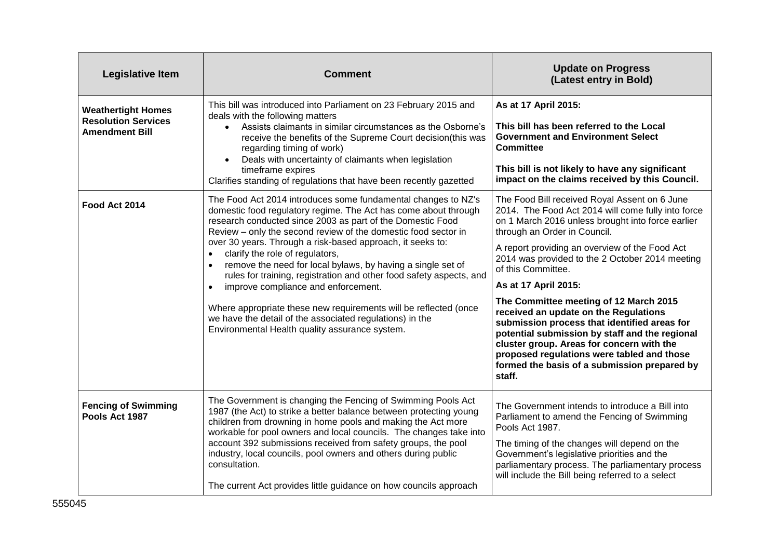| <b>Legislative Item</b>                                                          | <b>Comment</b>                                                                                                                                                                                                                                                                                                                                                                                                                                                                                                                                                                                                                                                                                                                                | <b>Update on Progress</b><br>(Latest entry in Bold)                                                                                                                                                                                                                                                                                                                                                                                                                                                                                                                                                                                                                                   |
|----------------------------------------------------------------------------------|-----------------------------------------------------------------------------------------------------------------------------------------------------------------------------------------------------------------------------------------------------------------------------------------------------------------------------------------------------------------------------------------------------------------------------------------------------------------------------------------------------------------------------------------------------------------------------------------------------------------------------------------------------------------------------------------------------------------------------------------------|---------------------------------------------------------------------------------------------------------------------------------------------------------------------------------------------------------------------------------------------------------------------------------------------------------------------------------------------------------------------------------------------------------------------------------------------------------------------------------------------------------------------------------------------------------------------------------------------------------------------------------------------------------------------------------------|
| <b>Weathertight Homes</b><br><b>Resolution Services</b><br><b>Amendment Bill</b> | This bill was introduced into Parliament on 23 February 2015 and<br>deals with the following matters<br>Assists claimants in similar circumstances as the Osborne's<br>$\bullet$<br>receive the benefits of the Supreme Court decision(this was<br>regarding timing of work)<br>Deals with uncertainty of claimants when legislation<br>timeframe expires<br>Clarifies standing of regulations that have been recently gazetted                                                                                                                                                                                                                                                                                                               | As at 17 April 2015:<br>This bill has been referred to the Local<br><b>Government and Environment Select</b><br><b>Committee</b><br>This bill is not likely to have any significant<br>impact on the claims received by this Council.                                                                                                                                                                                                                                                                                                                                                                                                                                                 |
| Food Act 2014                                                                    | The Food Act 2014 introduces some fundamental changes to NZ's<br>domestic food regulatory regime. The Act has come about through<br>research conducted since 2003 as part of the Domestic Food<br>Review - only the second review of the domestic food sector in<br>over 30 years. Through a risk-based approach, it seeks to:<br>clarify the role of regulators,<br>remove the need for local bylaws, by having a single set of<br>rules for training, registration and other food safety aspects, and<br>improve compliance and enforcement.<br>$\bullet$<br>Where appropriate these new requirements will be reflected (once<br>we have the detail of the associated regulations) in the<br>Environmental Health quality assurance system. | The Food Bill received Royal Assent on 6 June<br>2014. The Food Act 2014 will come fully into force<br>on 1 March 2016 unless brought into force earlier<br>through an Order in Council.<br>A report providing an overview of the Food Act<br>2014 was provided to the 2 October 2014 meeting<br>of this Committee.<br>As at 17 April 2015:<br>The Committee meeting of 12 March 2015<br>received an update on the Regulations<br>submission process that identified areas for<br>potential submission by staff and the regional<br>cluster group. Areas for concern with the<br>proposed regulations were tabled and those<br>formed the basis of a submission prepared by<br>staff. |
| <b>Fencing of Swimming</b><br>Pools Act 1987                                     | The Government is changing the Fencing of Swimming Pools Act<br>1987 (the Act) to strike a better balance between protecting young<br>children from drowning in home pools and making the Act more<br>workable for pool owners and local councils. The changes take into<br>account 392 submissions received from safety groups, the pool<br>industry, local councils, pool owners and others during public<br>consultation.<br>The current Act provides little guidance on how councils approach                                                                                                                                                                                                                                             | The Government intends to introduce a Bill into<br>Parliament to amend the Fencing of Swimming<br>Pools Act 1987.<br>The timing of the changes will depend on the<br>Government's legislative priorities and the<br>parliamentary process. The parliamentary process<br>will include the Bill being referred to a select                                                                                                                                                                                                                                                                                                                                                              |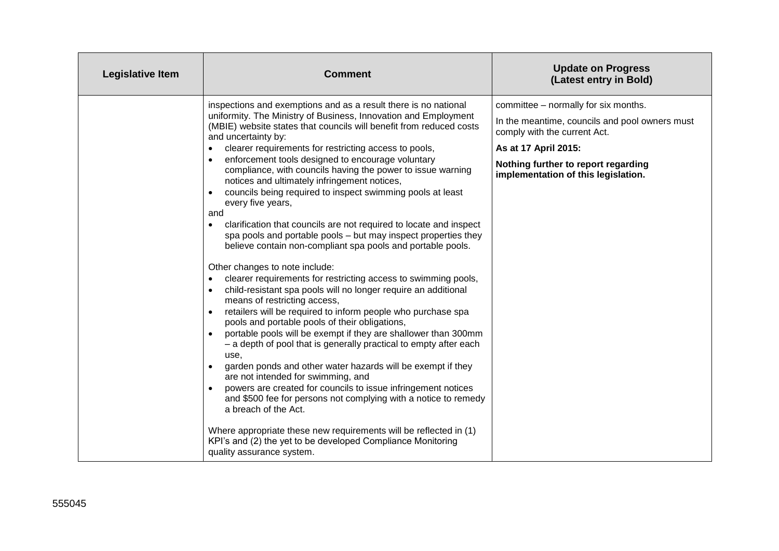| <b>Legislative Item</b> | <b>Comment</b>                                                                                                                                                                                                                                                                                                                                                                                                                                                                                                                                                                                                                                                                                                                                                                                                                                                                                                                                                                                                                                                                                                                                                                                                                                                                                                                                                                                                                                                                                                                                                                                                                                                                                                                           | <b>Update on Progress</b><br>(Latest entry in Bold)                                                                                                                                                                          |
|-------------------------|------------------------------------------------------------------------------------------------------------------------------------------------------------------------------------------------------------------------------------------------------------------------------------------------------------------------------------------------------------------------------------------------------------------------------------------------------------------------------------------------------------------------------------------------------------------------------------------------------------------------------------------------------------------------------------------------------------------------------------------------------------------------------------------------------------------------------------------------------------------------------------------------------------------------------------------------------------------------------------------------------------------------------------------------------------------------------------------------------------------------------------------------------------------------------------------------------------------------------------------------------------------------------------------------------------------------------------------------------------------------------------------------------------------------------------------------------------------------------------------------------------------------------------------------------------------------------------------------------------------------------------------------------------------------------------------------------------------------------------------|------------------------------------------------------------------------------------------------------------------------------------------------------------------------------------------------------------------------------|
|                         | inspections and exemptions and as a result there is no national<br>uniformity. The Ministry of Business, Innovation and Employment<br>(MBIE) website states that councils will benefit from reduced costs<br>and uncertainty by:<br>clearer requirements for restricting access to pools,<br>enforcement tools designed to encourage voluntary<br>$\bullet$<br>compliance, with councils having the power to issue warning<br>notices and ultimately infringement notices,<br>councils being required to inspect swimming pools at least<br>every five years,<br>and<br>clarification that councils are not required to locate and inspect<br>$\bullet$<br>spa pools and portable pools - but may inspect properties they<br>believe contain non-compliant spa pools and portable pools.<br>Other changes to note include:<br>clearer requirements for restricting access to swimming pools,<br>$\bullet$<br>child-resistant spa pools will no longer require an additional<br>$\bullet$<br>means of restricting access,<br>retailers will be required to inform people who purchase spa<br>$\bullet$<br>pools and portable pools of their obligations,<br>portable pools will be exempt if they are shallower than 300mm<br>- a depth of pool that is generally practical to empty after each<br>use,<br>garden ponds and other water hazards will be exempt if they<br>are not intended for swimming, and<br>powers are created for councils to issue infringement notices<br>and \$500 fee for persons not complying with a notice to remedy<br>a breach of the Act.<br>Where appropriate these new requirements will be reflected in (1)<br>KPI's and (2) the yet to be developed Compliance Monitoring<br>quality assurance system. | committee - normally for six months.<br>In the meantime, councils and pool owners must<br>comply with the current Act.<br>As at 17 April 2015:<br>Nothing further to report regarding<br>implementation of this legislation. |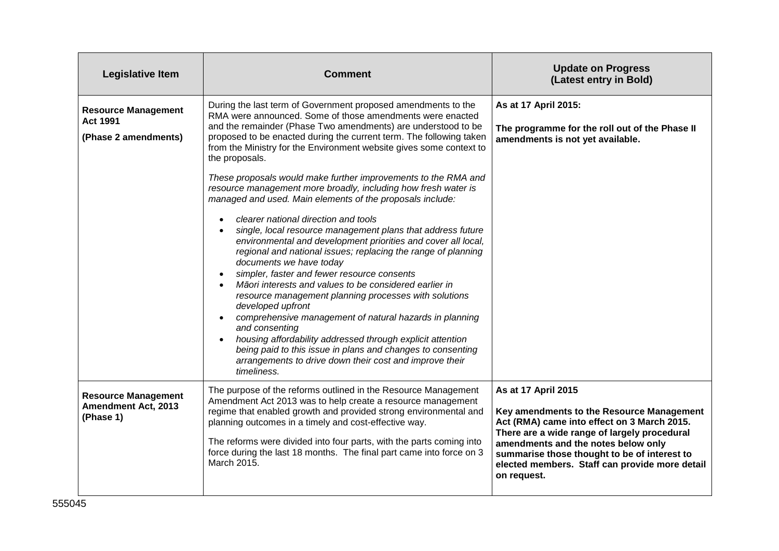| <b>Legislative Item</b>                                               | <b>Comment</b>                                                                                                                                                                                                                                                                                                                                                                                                                                                                                                                                                                                                                                                                                                                                                                                                                                                                                                                                                                                                                                                                                                                                                                                                                                                                                              | <b>Update on Progress</b><br>(Latest entry in Bold)                                                                                                                                                                                                                                                                     |
|-----------------------------------------------------------------------|-------------------------------------------------------------------------------------------------------------------------------------------------------------------------------------------------------------------------------------------------------------------------------------------------------------------------------------------------------------------------------------------------------------------------------------------------------------------------------------------------------------------------------------------------------------------------------------------------------------------------------------------------------------------------------------------------------------------------------------------------------------------------------------------------------------------------------------------------------------------------------------------------------------------------------------------------------------------------------------------------------------------------------------------------------------------------------------------------------------------------------------------------------------------------------------------------------------------------------------------------------------------------------------------------------------|-------------------------------------------------------------------------------------------------------------------------------------------------------------------------------------------------------------------------------------------------------------------------------------------------------------------------|
| <b>Resource Management</b><br><b>Act 1991</b><br>(Phase 2 amendments) | During the last term of Government proposed amendments to the<br>RMA were announced. Some of those amendments were enacted<br>and the remainder (Phase Two amendments) are understood to be<br>proposed to be enacted during the current term. The following taken<br>from the Ministry for the Environment website gives some context to<br>the proposals.<br>These proposals would make further improvements to the RMA and<br>resource management more broadly, including how fresh water is<br>managed and used. Main elements of the proposals include:<br>clearer national direction and tools<br>single, local resource management plans that address future<br>environmental and development priorities and cover all local,<br>regional and national issues; replacing the range of planning<br>documents we have today<br>simpler, faster and fewer resource consents<br>Māori interests and values to be considered earlier in<br>resource management planning processes with solutions<br>developed upfront<br>comprehensive management of natural hazards in planning<br>and consenting<br>housing affordability addressed through explicit attention<br>being paid to this issue in plans and changes to consenting<br>arrangements to drive down their cost and improve their<br>timeliness. | As at 17 April 2015:<br>The programme for the roll out of the Phase II<br>amendments is not yet available.                                                                                                                                                                                                              |
| <b>Resource Management</b><br><b>Amendment Act, 2013</b><br>(Phase 1) | The purpose of the reforms outlined in the Resource Management<br>Amendment Act 2013 was to help create a resource management<br>regime that enabled growth and provided strong environmental and<br>planning outcomes in a timely and cost-effective way.<br>The reforms were divided into four parts, with the parts coming into<br>force during the last 18 months. The final part came into force on 3<br>March 2015.                                                                                                                                                                                                                                                                                                                                                                                                                                                                                                                                                                                                                                                                                                                                                                                                                                                                                   | As at 17 April 2015<br>Key amendments to the Resource Management<br>Act (RMA) came into effect on 3 March 2015.<br>There are a wide range of largely procedural<br>amendments and the notes below only<br>summarise those thought to be of interest to<br>elected members. Staff can provide more detail<br>on request. |